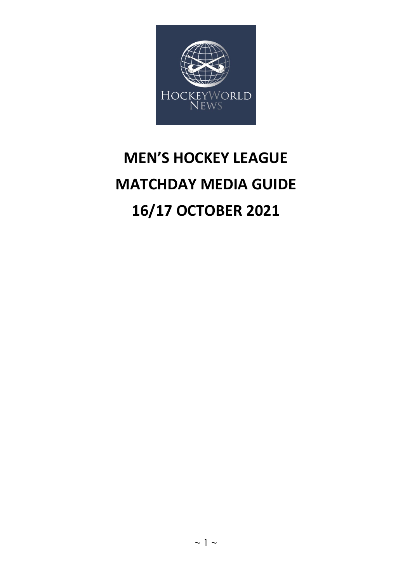

# **MEN'S HOCKEY LEAGUE MATCHDAY MEDIA GUIDE 16/17 OCTOBER 2021**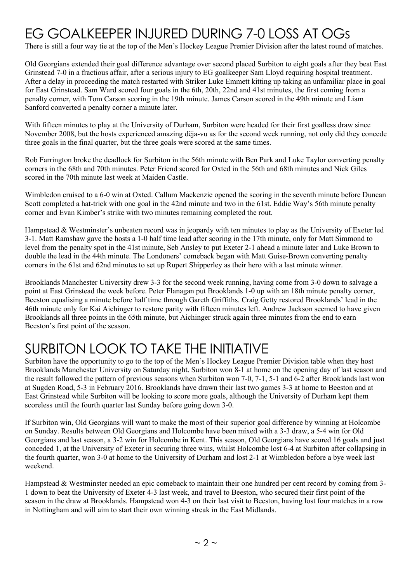# EG GOALKEEPER INJURED DURING 7-0 LOSS AT OGs

There is still a four way tie at the top of the Men's Hockey League Premier Division after the latest round of matches.

Old Georgians extended their goal difference advantage over second placed Surbiton to eight goals after they beat East Grinstead 7-0 in a fractious affair, after a serious injury to EG goalkeeper Sam Lloyd requiring hospital treatment. After a delay in proceeding the match restarted with Striker Luke Emmett kitting up taking an unfamiliar place in goal for East Grinstead. Sam Ward scored four goals in the 6th, 20th, 22nd and 41st minutes, the first coming from a penalty corner, with Tom Carson scoring in the 19th minute. James Carson scored in the 49th minute and Liam Sanford converted a penalty corner a minute later.

With fifteen minutes to play at the University of Durham, Surbiton were headed for their first goalless draw since November 2008, but the hosts experienced amazing dëja-vu as for the second week running, not only did they concede three goals in the final quarter, but the three goals were scored at the same times.

Rob Farrington broke the deadlock for Surbiton in the 56th minute with Ben Park and Luke Taylor converting penalty corners in the 68th and 70th minutes. Peter Friend scored for Oxted in the 56th and 68th minutes and Nick Giles scored in the 70th minute last week at Maiden Castle.

Wimbledon cruised to a 6-0 win at Oxted. Callum Mackenzie opened the scoring in the seventh minute before Duncan Scott completed a hat-trick with one goal in the 42nd minute and two in the 61st. Eddie Way's 56th minute penalty corner and Evan Kimber's strike with two minutes remaining completed the rout.

Hampstead & Westminster's unbeaten record was in jeopardy with ten minutes to play as the University of Exeter led 3-1. Matt Ramshaw gave the hosts a 1-0 half time lead after scoring in the 17th minute, only for Matt Simmond to level from the penalty spot in the 41st minute, Seb Ansley to put Exeter 2-1 ahead a minute later and Luke Brown to double the lead in the 44th minute. The Londoners' comeback began with Matt Guise-Brown converting penalty corners in the 61st and 62nd minutes to set up Rupert Shipperley as their hero with a last minute winner.

Brooklands Manchester University drew 3-3 for the second week running, having come from 3-0 down to salvage a point at East Grinstead the week before. Peter Flanagan put Brooklands 1-0 up with an 18th minute penalty corner, Beeston equalising a minute before half time through Gareth Griffiths. Craig Getty restored Brooklands' lead in the 46th minute only for Kai Aichinger to restore parity with fifteen minutes left. Andrew Jackson seemed to have given Brooklands all three points in the 65th minute, but Aichinger struck again three minutes from the end to earn Beeston's first point of the season.

## SURBITON LOOK TO TAKE THE INITIATIVE

Surbiton have the opportunity to go to the top of the Men's Hockey League Premier Division table when they host Brooklands Manchester University on Saturday night. Surbiton won 8-1 at home on the opening day of last season and the result followed the pattern of previous seasons when Surbiton won 7-0, 7-1, 5-1 and 6-2 after Brooklands last won at Sugden Road, 5-3 in February 2016. Brooklands have drawn their last two games 3-3 at home to Beeston and at East Grinstead while Surbiton will be looking to score more goals, although the University of Durham kept them scoreless until the fourth quarter last Sunday before going down 3-0.

If Surbiton win, Old Georgians will want to make the most of their superior goal difference by winning at Holcombe on Sunday. Results between Old Georgians and Holcombe have been mixed with a 3-3 draw, a 5-4 win for Old Georgians and last season, a 3-2 win for Holcombe in Kent. This season, Old Georgians have scored 16 goals and just conceded 1, at the University of Exeter in securing three wins, whilst Holcombe lost 6-4 at Surbiton after collapsing in the fourth quarter, won 3-0 at home to the University of Durham and lost 2-1 at Wimbledon before a bye week last weekend.

Hampstead & Westminster needed an epic comeback to maintain their one hundred per cent record by coming from 3-1 down to beat the University of Exeter 4-3 last week, and travel to Beeston, who secured their first point of the season in the draw at Brooklands. Hampstead won 4-3 on their last visit to Beeston, having lost four matches in a row in Nottingham and will aim to start their own winning streak in the East Midlands.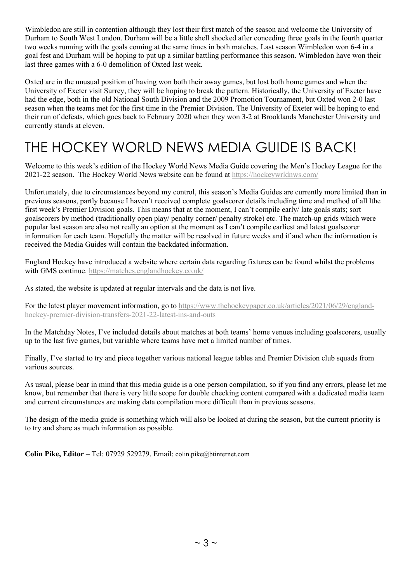Wimbledon are still in contention although they lost their first match of the season and welcome the University of Durham to South West London. Durham will be a little shell shocked after conceding three goals in the fourth quarter two weeks running with the goals coming at the same times in both matches. Last season Wimbledon won 6-4 in a goal fest and Durham will be hoping to put up a similar battling performance this season. Wimbledon have won their last three games with a 6-0 demolition of Oxted last week.

Oxted are in the unusual position of having won both their away games, but lost both home games and when the University of Exeter visit Surrey, they will be hoping to break the pattern. Historically, the University of Exeter have had the edge, both in the old National South Division and the 2009 Promotion Tournament, but Oxted won 2-0 last season when the teams met for the first time in the Premier Division. The University of Exeter will be hoping to end their run of defeats, which goes back to February 2020 when they won 3-2 at Brooklands Manchester University and currently stands at eleven.

# THE HOCKEY WORLD NEWS MEDIA GUIDE IS BACK!

Welcome to this week's edition of the Hockey World News Media Guide covering the Men's Hockey League for the 2021-22 season. The Hockey World News website can be found at<https://hockeywrldnws.com/>

Unfortunately, due to circumstances beyond my control, this season's Media Guides are currently more limited than in previous seasons, partly because I haven't received complete goalscorer details including time and method of all lthe first week's Premier Division goals. This means that at the moment, I can't compile early/ late goals stats; sort goalscorers by method (traditionally open play/ penalty corner/ penalty stroke) etc. The match-up grids which were popular last season are also not really an option at the moment as I can't compile earliest and latest goalscorer information for each team. Hopefully the matter will be resolved in future weeks and if and when the information is received the Media Guides will contain the backdated information.

England Hockey have introduced a website where certain data regarding fixtures can be found whilst the problems with GMS continue.<https://matches.englandhockey.co.uk/>

As stated, the website is updated at regular intervals and the data is not live.

For the latest player movement information, go to [https://www.thehockeypaper.co.uk/articles/2021/06/29/england](https://www.thehockeypaper.co.uk/articles/2021/06/29/england-hockey-premier-division-transfers-2021-22-latest-ins-and-outs)[hockey-premier-division-transfers-2021-22-latest-ins-and-outs](https://www.thehockeypaper.co.uk/articles/2021/06/29/england-hockey-premier-division-transfers-2021-22-latest-ins-and-outs)

In the Matchday Notes, I've included details about matches at both teams' home venues including goalscorers, usually up to the last five games, but variable where teams have met a limited number of times.

Finally, I've started to try and piece together various national league tables and Premier Division club squads from various sources.

As usual, please bear in mind that this media guide is a one person compilation, so if you find any errors, please let me know, but remember that there is very little scope for double checking content compared with a dedicated media team and current circumstances are making data compilation more difficult than in previous seasons.

The design of the media guide is something which will also be looked at during the season, but the current priority is to try and share as much information as possible.

**Colin Pike, Editor** – Tel: 07929 529279. Email: [colin.pike@btinternet.com](mailto:colin.pike@btinternet.com)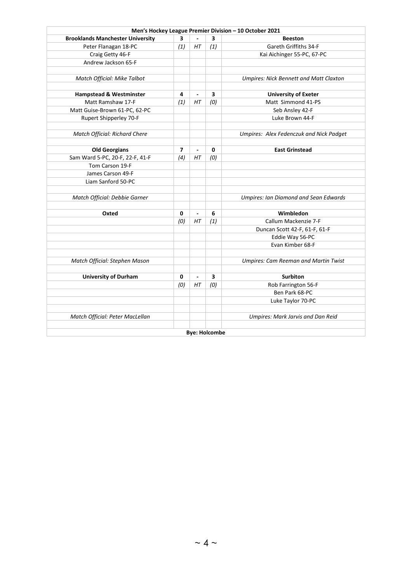|                                         |                |                          |                      | Men's Hockey League Premier Division - 10 October 2021 |
|-----------------------------------------|----------------|--------------------------|----------------------|--------------------------------------------------------|
| <b>Brooklands Manchester University</b> | 3              |                          | 3                    | <b>Beeston</b>                                         |
| Peter Flanagan 18-PC                    | (1)            | HT                       | (1)                  | Gareth Griffiths 34-F                                  |
| Craig Getty 46-F                        |                |                          |                      | Kai Aichinger 55-PC, 67-PC                             |
| Andrew Jackson 65-F                     |                |                          |                      |                                                        |
|                                         |                |                          |                      |                                                        |
| Match Official: Mike Talbot             |                |                          |                      | <b>Umpires: Nick Bennett and Matt Claxton</b>          |
|                                         |                |                          |                      |                                                        |
| <b>Hampstead &amp; Westminster</b>      | 4              | $\overline{\phantom{a}}$ | 3                    | <b>University of Exeter</b>                            |
| Matt Ramshaw 17-F                       | (1)            | HT                       | (0)                  | Matt Simmond 41-PS                                     |
| Matt Guise-Brown 61-PC, 62-PC           |                |                          |                      | Seb Ansley 42-F                                        |
| Rupert Shipperley 70-F                  |                |                          |                      | Luke Brown 44-F                                        |
|                                         |                |                          |                      |                                                        |
| Match Official: Richard Chere           |                |                          |                      | Umpires: Alex Fedenczuk and Nick Padget                |
|                                         |                |                          |                      |                                                        |
| <b>Old Georgians</b>                    | $\overline{ }$ | $\overline{a}$           | 0                    | <b>East Grinstead</b>                                  |
| Sam Ward 5-PC, 20-F, 22-F, 41-F         | (4)            | HT                       | (0)                  |                                                        |
| Tom Carson 19-F                         |                |                          |                      |                                                        |
| James Carson 49-F                       |                |                          |                      |                                                        |
| Liam Sanford 50-PC                      |                |                          |                      |                                                        |
|                                         |                |                          |                      |                                                        |
| Match Official: Debbie Garner           |                |                          |                      | <b>Umpires: Ian Diamond and Sean Edwards</b>           |
|                                         |                |                          |                      |                                                        |
| Oxted                                   | 0              | $\blacksquare$           | 6                    | Wimbledon                                              |
|                                         | (0)            | HT                       | (1)                  | Callum Mackenzie 7-F                                   |
|                                         |                |                          |                      | Duncan Scott 42-F, 61-F, 61-F                          |
|                                         |                |                          |                      | Eddie Way 56-PC                                        |
|                                         |                |                          |                      | Evan Kimber 68-F                                       |
|                                         |                |                          |                      |                                                        |
| Match Official: Stephen Mason           |                |                          |                      | <b>Umpires: Cam Reeman and Martin Twist</b>            |
|                                         |                |                          |                      |                                                        |
| <b>University of Durham</b>             | 0              | $\blacksquare$           | 3                    | <b>Surbiton</b>                                        |
|                                         | (0)            | НT                       | (0)                  | Rob Farrington 56-F                                    |
|                                         |                |                          |                      | Ben Park 68-PC                                         |
|                                         |                |                          |                      | Luke Taylor 70-PC                                      |
|                                         |                |                          |                      |                                                        |
| Match Official: Peter MacLellan         |                |                          |                      | Umpires: Mark Jarvis and Dan Reid                      |
|                                         |                |                          |                      |                                                        |
|                                         |                |                          | <b>Bye: Holcombe</b> |                                                        |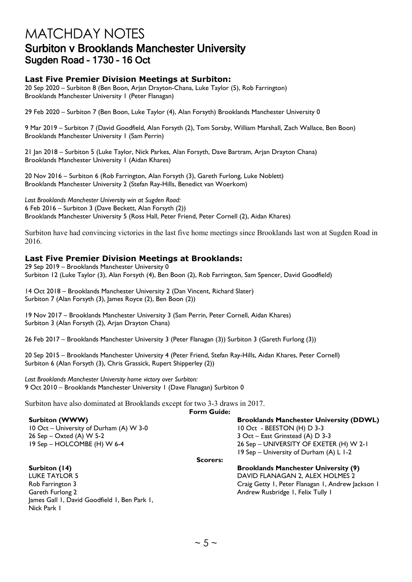## MATCHDAY NOTES Surbiton v Brooklands Manchester University Sugden Road – 1730 – 16 Oct

#### **Last Five Premier Division Meetings at Surbiton:**

20 Sep 2020 – Surbiton 8 (Ben Boon, Arjan Drayton-Chana, Luke Taylor (5), Rob Farrington) Brooklands Manchester University 1 (Peter Flanagan)

29 Feb 2020 – Surbiton 7 (Ben Boon, Luke Taylor (4), Alan Forsyth) Brooklands Manchester University 0

9 Mar 2019 – Surbiton 7 (David Goodfield, Alan Forsyth (2), Tom Sorsby, William Marshall, Zach Wallace, Ben Boon) Brooklands Manchester University 1 (Sam Perrin)

21 Jan 2018 – Surbiton 5 (Luke Taylor, Nick Parkes, Alan Forsyth, Dave Bartram, Arjan Drayton Chana) Brooklands Manchester University 1 (Aidan Khares)

20 Nov 2016 – Surbiton 6 (Rob Farrington, Alan Forsyth (3), Gareth Furlong, Luke Noblett) Brooklands Manchester University 2 (Stefan Ray-Hills, Benedict van Woerkom)

*Last Brooklands Manchester University win at Sugden Road:* 6 Feb 2016 – Surbiton 3 (Dave Beckett, Alan Forsyth (2)) Brooklands Manchester University 5 (Ross Hall, Peter Friend, Peter Cornell (2), Aidan Khares)

Surbiton have had convincing victories in the last five home meetings since Brooklands last won at Sugden Road in 2016.

#### **Last Five Premier Division Meetings at Brooklands:**

29 Sep 2019 – Brooklands Manchester University 0 Surbiton 12 (Luke Taylor (3), Alan Forsyth (4), Ben Boon (2), Rob Farrington, Sam Spencer, David Goodfield)

14 Oct 2018 – Brooklands Manchester University 2 (Dan Vincent, Richard Slater) Surbiton 7 (Alan Forsyth (3), James Royce (2), Ben Boon (2))

19 Nov 2017 – Brooklands Manchester University 3 (Sam Perrin, Peter Cornell, Aidan Khares) Surbiton 3 (Alan Forsyth (2), Arjan Drayton Chana)

26 Feb 2017 – Brooklands Manchester University 3 (Peter Flanagan (3)) Surbiton 3 (Gareth Furlong (3))

20 Sep 2015 – Brooklands Manchester University 4 (Peter Friend, Stefan Ray-Hills, Aidan Khares, Peter Cornell) Surbiton 6 (Alan Forsyth (3), Chris Grassick, Rupert Shipperley (2))

*Last Brooklands Manchester University home victory over Surbiton:* 9 Oct 2010 – Brooklands Manchester University 1 (Dave Flanagan) Surbiton 0

Surbiton have also dominated at Brooklands except for two 3-3 draws in 2017. **Form Guide:**

10 Oct – University of Durham (A) W 3-0 10 Oct - BEESTON (H) D 3-3 26 Sep – Oxted (A) W 5-2 3 Oct – East Grinstead (A) D 3-3

**Surbiton (WWW) Brooklands Manchester University (DDWL)** 19 Sep – HOLCOMBE (H) W 6-4 26 Sep – UNIVERSITY OF EXETER (H) W 2-1 19 Sep – University of Durham (A) L 1-2

**Scorers:**

## Gareth Furlong 2 **Andrew Rusbridge 1, Felix Tully 1** Andrew Rusbridge 1, Felix Tully 1 James Gall 1, David Goodfield 1, Ben Park 1, Nick Park 1

**Surbiton (14) Brooklands Manchester University (9)** DAVID FLANAGAN 2, ALEX HOLMES 2 Rob Farrington 3 Craig Getty 1, Peter Flanagan 1, Andrew Jackson 1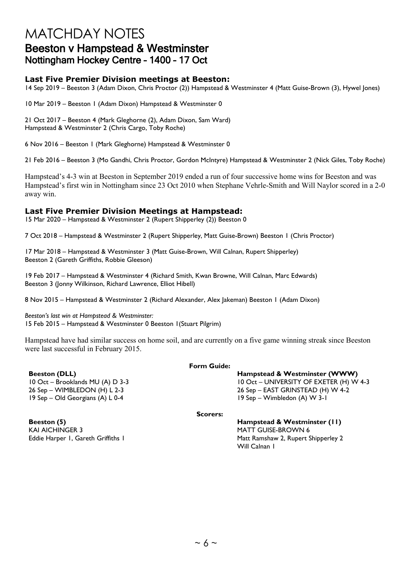## MATCHDAY NOTES Beeston v Hampstead & Westminster Nottingham Hockey Centre – 1400 – 17 Oct

### **Last Five Premier Division meetings at Beeston:**

14 Sep 2019 – Beeston 3 (Adam Dixon, Chris Proctor (2)) Hampstead & Westminster 4 (Matt Guise-Brown (3), Hywel Jones)

10 Mar 2019 – Beeston 1 (Adam Dixon) Hampstead & Westminster 0

21 Oct 2017 – Beeston 4 (Mark Gleghorne (2), Adam Dixon, Sam Ward) Hampstead & Westminster 2 (Chris Cargo, Toby Roche)

6 Nov 2016 – Beeston 1 (Mark Gleghorne) Hampstead & Westminster 0

21 Feb 2016 – Beeston 3 (Mo Gandhi, Chris Proctor, Gordon McIntyre) Hampstead & Westminster 2 (Nick Giles, Toby Roche)

Hampstead's 4-3 win at Beeston in September 2019 ended a run of four successive home wins for Beeston and was Hampstead's first win in Nottingham since 23 Oct 2010 when Stephane Vehrle-Smith and Will Naylor scored in a 2-0 away win.

#### **Last Five Premier Division Meetings at Hampstead:**

15 Mar 2020 – Hampstead & Westminster 2 (Rupert Shipperley (2)) Beeston 0

7 Oct 2018 – Hampstead & Westminster 2 (Rupert Shipperley, Matt Guise-Brown) Beeston 1 (Chris Proctor)

17 Mar 2018 – Hampstead & Westminster 3 (Matt Guise-Brown, Will Calnan, Rupert Shipperley) Beeston 2 (Gareth Griffiths, Robbie Gleeson)

19 Feb 2017 – Hampstead & Westminster 4 (Richard Smith, Kwan Browne, Will Calnan, Marc Edwards) Beeston 3 (Jonny Wilkinson, Richard Lawrence, Elliot Hibell)

8 Nov 2015 – Hampstead & Westminster 2 (Richard Alexander, Alex Jakeman) Beeston 1 (Adam Dixon)

*Beeston's last win at Hampstead & Westminster:* 15 Feb 2015 – Hampstead & Westminster 0 Beeston 1(Stuart Pilgrim)

Hampstead have had similar success on home soil, and are currently on a five game winning streak since Beeston were last successful in February 2015.

19 Sep – Old Georgians (A) L 0-4 19 Sep – Wimbledon (A) W 3-1

**Form Guide:**

**Beeston (DLL) Hampstead & Westminster (WWW)** 10 Oct – Brooklands MU (A) D 3-3 10 Oct – UNIVERSITY OF EXETER (H) W 4-3 26 Sep – WIMBLEDON (H) L 2-3 26 Sep – EAST GRINSTEAD (H) W 4-2

**Scorers:**

**Beeston (5) Hampstead & Westminster (11)** Eddie Harper 1, Gareth Griffiths 1 and 1992 and 1993 Matt Ramshaw 2, Rupert Shipperley 2

Will Calnan 1

KAI AICHINGER 3 MATT GUISE-BROWN 6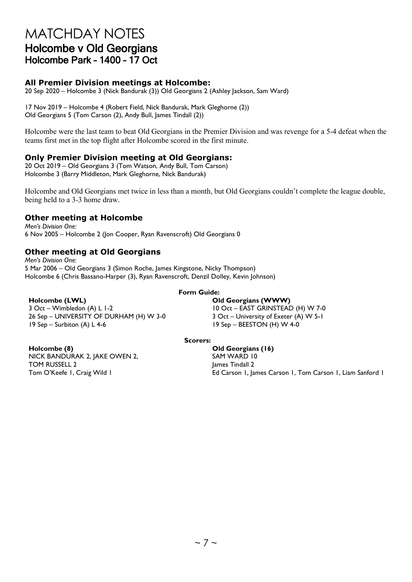## MATCHDAY NOTES Holcombe v Old Georgians Holcombe Park – 1400 – 17 Oct

### **All Premier Division meetings at Holcombe:**

20 Sep 2020 – Holcombe 3 (Nick Bandurak (3)) Old Georgians 2 (Ashley Jackson, Sam Ward)

17 Nov 2019 – Holcombe 4 (Robert Field, Nick Bandurak, Mark Gleghorne (2)) Old Georgians 5 (Tom Carson (2), Andy Bull, James Tindall (2))

Holcombe were the last team to beat Old Georgians in the Premier Division and was revenge for a 5-4 defeat when the teams first met in the top flight after Holcombe scored in the first minute.

#### **Only Premier Division meeting at Old Georgians:**

20 Oct 2019 – Old Georgians 3 (Tom Watson, Andy Bull, Tom Carson) Holcombe 3 (Barry Middleton, Mark Gleghorne, Nick Bandurak)

Holcombe and Old Georgians met twice in less than a month, but Old Georgians couldn't complete the league double, being held to a 3-3 home draw.

#### **Other meeting at Holcombe**

*Men's Division One:* 6 Nov 2005 – Holcombe 2 (Jon Cooper, Ryan Ravenscroft) Old Georgians 0

### **Other meeting at Old Georgians**

*Men's Division One:* 5 Mar 2006 – Old Georgians 3 (Simon Roche, James Kingstone, Nicky Thompson) Holcombe 6 (Chris Bassano-Harper (3), Ryan Ravenscroft, Denzil Dolley, Kevin Johnson)

#### **Form Guide:**

#### **Holcombe (LWL) Old Georgians (WWW)**

3 Oct – Wimbledon (A) L 1-2 10 Oct – EAST GRINSTEAD (H) W 7-0<br>10 Oct – EAST GRINSTEAD (H) W 7-0<br>10 Oct – University of Exeter (A) W 5-1 26 Sep – UNIVERSITY OF DURHAM (H) W 3-0 19 Sep – Surbiton (A) L 4-6 19 Sep – BEESTON (H) W 4-0

#### **Scorers:** The Scorers: The Scorers: The Scorers: The Scorers: The Scorers: The Scorers: The Scorers: The Score

**Holcombe (8) Old Georgians (16)** NICK BANDURAK 2, JAKE OWEN 2, TOM RUSSELL 2

SAM WARD 10 James Tindall 2 Tom O'Keefe I, Craig Wild I **Ed Carson 1, James Carson 1, Tom Carson 1**, Liam Sanford I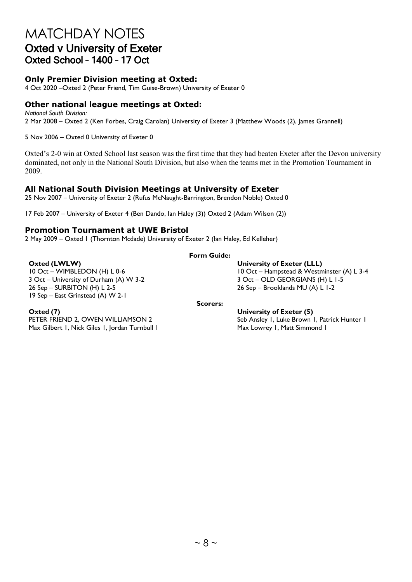## MATCHDAY NOTES Oxted v University of Exeter Oxted School – 1400 – 17 Oct

### **Only Premier Division meeting at Oxted:**

4 Oct 2020 –Oxted 2 (Peter Friend, Tim Guise-Brown) University of Exeter 0

### **Other national league meetings at Oxted:**

*National South Division:* 2 Mar 2008 – Oxted 2 (Ken Forbes, Craig Carolan) University of Exeter 3 (Matthew Woods (2), James Grannell)

5 Nov 2006 – Oxted 0 University of Exeter 0

Oxted's 2-0 win at Oxted School last season was the first time that they had beaten Exeter after the Devon university dominated, not only in the National South Division, but also when the teams met in the Promotion Tournament in 2009.

#### **All National South Division Meetings at University of Exeter**

25 Nov 2007 – University of Exeter 2 (Rufus McNaught-Barrington, Brendon Noble) Oxted 0

17 Feb 2007 – University of Exeter 4 (Ben Dando, Ian Haley (3)) Oxted 2 (Adam Wilson (2))

#### **Promotion Tournament at UWE Bristol**

2 May 2009 – Oxted 1 (Thornton Mcdade) University of Exeter 2 (Ian Haley, Ed Kelleher)

### **Form Guide:**

3 Oct – University of Durham (A) W 3-2 <br>26 Sep – SURBITON (H) L 2-5 <br>26 Sep – Brooklands MU (A) L 1-2 19 Sep – East Grinstead (A) W 2-1

**Oxted (LWLW) University of Exeter (LLL)** 10 Oct – WIMBLEDON (H) L 0-6 10 Oct – Hampstead & Westminster (A) L 3-4  $26$  Sep – Brooklands MU (A) L 1-2

Max Gilbert 1, Nick Giles 1, Jordan Turnbull 1 Max Lowrey 1, Matt Simmond 1

#### **Scorers:**

**Oxted (7) University of Exeter (5)** Seb Ansley 1, Luke Brown 1, Patrick Hunter 1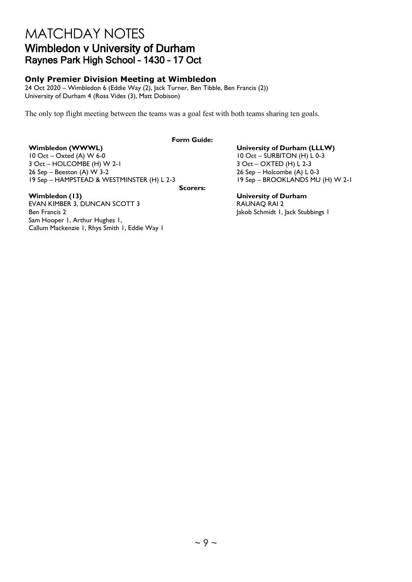## MATCHDAY NOTES Wimbledon v University of Durham Raynes Park High School – 1430 – 17 Oct

### **Only Premier Division Meeting at Wimbledon**

24 Oct 2020 – Wimbledon 6 (Eddie Way (2), Jack Turner, Ben Tibble, Ben Francis (2)) University of Durham 4 (Ross Vides (3), Matt Dobison)

The only top flight meeting between the teams was a goal fest with both teams sharing ten goals.

#### **Form Guide:**

**Wimbledon (WWWL)**<br>
10 Oct – Oxted (A) W 6-0<br>
10 Oct – SURBITON (H) L 0-3  $3$  Oct – HOLCOMBE (H) W 2-1<br>26 Sep – Beeston (A) W 3-2 19 Sep – HAMPSTEAD & WESTMINSTER (H) L 2-3 19 Sep – BROOKLANDS MU (H) W 2-1

**Scorers:**

EVAN KIMBER 3, DUNCAN SCOTT 3 Ben Francis 2 Jakob Schmidt 1, Jack Stubbings 1 Sam Hooper 1, Arthur Hughes 1, Callum Mackenzie 1, Rhys Smith 1, Eddie Way 1

 $10$  Oct – SURBITON (H) L 0-3<br>3 Oct – OXTED (H) L 2-3  $26$  Sep – Holcombe (A) L 0-3

**Wimbledon (13) University of Durham**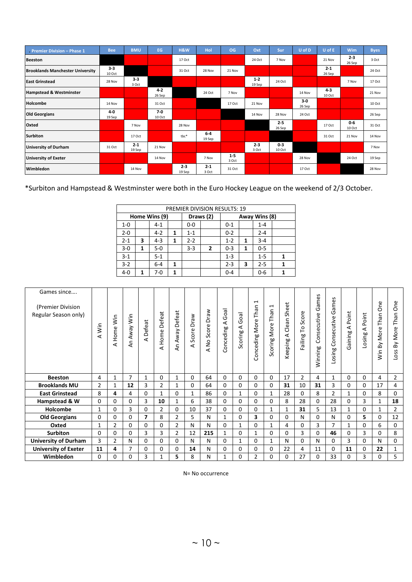| Premier Division - Phase 1              | <b>Bee</b>        | <b>BMU</b>        | EG                | <b>H&amp;W</b>    | Hol               | OG               | Oxt               | Sur               | U of D          | U of E            | <b>Wim</b>        | <b>Byes</b> |
|-----------------------------------------|-------------------|-------------------|-------------------|-------------------|-------------------|------------------|-------------------|-------------------|-----------------|-------------------|-------------------|-------------|
| <b>Beeston</b>                          |                   |                   |                   | 17 Oct            |                   |                  | 24 Oct            | 7 Nov             |                 | 21 Nov            | $2 - 3$<br>26 Sep | 3 Oct       |
| <b>Brooklands Manchester University</b> | $3 - 3$<br>10 Oct |                   |                   | 31 Oct            | 28 Nov            | 21 Nov           |                   |                   |                 | $2 - 1$<br>26 Sep |                   | 24 Oct      |
| <b>East Grinstead</b>                   | 28 Nov            | $3 - 3$<br>3 Oct  |                   |                   |                   |                  | $1 - 2$<br>19 Sep | 24 Oct            |                 |                   | 7 Nov             | 17 Oct      |
| <b>Hampstead &amp; Westminster</b>      |                   |                   | $4 - 2$<br>26 Sep |                   | 24 Oct            | 7 Nov            |                   |                   | 14 Nov          | $4 - 3$<br>10 Oct |                   | 21 Nov      |
| Holcombe                                | 14 Nov            |                   | 31 Oct            |                   |                   | 17 Oct           | 21 Nov            |                   | $3-0$<br>26 Sep |                   |                   | 10 Oct      |
| <b>Old Georgians</b>                    | $4-0$<br>19 Sep   |                   | $7-0$<br>10 Oct   |                   |                   |                  | 14 Nov            | 28 Nov            | 24 Oct          |                   |                   | 26 Sep      |
| Oxted                                   |                   | 7 Nov             |                   | 28 Nov            |                   |                  |                   | $2 - 5$<br>26 Sep |                 | 17 Oct            | $0 - 6$<br>10 Oct | 31 Oct      |
| <b>Surbiton</b>                         |                   | 17 Oct            |                   | tbc*              | $6 - 4$<br>19 Sep |                  |                   |                   |                 | 31 Oct            | 21 Nov            | 14 Nov      |
| <b>University of Durham</b>             | 31 Oct            | $2 - 1$<br>19 Sep | 21 Nov            |                   |                   |                  | $2 - 3$<br>3 Oct  | $0 - 3$<br>10 Oct |                 |                   |                   | 7 Nov       |
| <b>University of Exeter</b>             |                   |                   | 14 Nov            |                   | 7 Nov             | $1 - 5$<br>3 Oct |                   |                   | 28 Nov          |                   | 24 Oct            | 19 Sep      |
| Wimbledon                               |                   | 14 Nov            |                   | $2 - 3$<br>19 Sep | $2 - 1$<br>3 Oct  | 31 Oct           |                   |                   | 17 Oct          |                   |                   | 28 Nov      |

\*Surbiton and Hampstead & Westminster were both in the Euro Hockey League on the weekend of 2/3 October.

|         |   |               |                            |         | <b>PREMIER DIVISION RESULTS: 19</b> |         |   |         |  |
|---------|---|---------------|----------------------------|---------|-------------------------------------|---------|---|---------|--|
|         |   | Home Wins (9) | Away Wins (8)<br>Draws (2) |         |                                     |         |   |         |  |
| $1 - 0$ |   | $4 - 1$       |                            | $0-0$   |                                     | $0 - 1$ |   | $1 - 4$ |  |
| $2 - 0$ |   | $4-2$         | 1                          | $1 - 1$ |                                     | $0 - 2$ |   | $2 - 4$ |  |
| $2 - 1$ | 3 | $4 - 3$       | 1                          | $2 - 2$ |                                     | $1 - 2$ | 1 | $3 - 4$ |  |
| $3-0$   | 1 | $5-0$         |                            | $3 - 3$ | $\overline{2}$                      | $0 - 3$ | 1 | $0 - 5$ |  |
| $3-1$   |   | $5 - 1$       |                            |         |                                     | $1 - 3$ |   | $1 - 5$ |  |
| $3 - 2$ |   | $6-4$         | 1                          |         |                                     | $2 - 3$ | 3 | $2 - 5$ |  |
| $4 - 0$ | 1 | 7-0           | 1                          |         |                                     | $0 - 4$ |   | $0 - 6$ |  |

| Games since<br>(Premier Division<br>Regular Season only) | İn             | Home Win<br>⊄  | Away Win<br>Ę  | Defeat<br>⋖    | Defeat<br>Home<br>⊄ | Defeat<br>An Away | raw<br>≏<br>Score<br>⋖ | Draw<br>Score<br>A No | $\overline{50}$<br>ق<br>⋖<br>Conceding | Goal<br>⋖<br>Scoring | $\mathbf{\overline{u}}$<br>Than<br>More<br>Conceding | $\overline{\phantom{0}}$<br>Than<br>More<br>Scoring | Sheet<br>Clean<br>$\prec$<br>Keeping | Score<br>ءِ<br>ailing | Games<br>Consecutive<br>Winning | $\mathbf{v}$<br>ames<br>G<br>Consecutive<br>Losing | Point<br>⋖<br>Gaining | Point<br>⋖<br>Losing | <b>One</b><br>Than<br>Win By More | One<br>Than<br>More<br>δŃ<br>OSS |
|----------------------------------------------------------|----------------|----------------|----------------|----------------|---------------------|-------------------|------------------------|-----------------------|----------------------------------------|----------------------|------------------------------------------------------|-----------------------------------------------------|--------------------------------------|-----------------------|---------------------------------|----------------------------------------------------|-----------------------|----------------------|-----------------------------------|----------------------------------|
| <b>Beeston</b>                                           | 4              | 1              | $\overline{7}$ | 1              | 0                   | $\mathbf{1}$      | 0                      | 64                    | 0                                      | 0                    | 0                                                    | $\Omega$                                            | 17                                   | $\overline{2}$        | 4                               |                                                    | 0                     | 0                    | 4                                 | $\overline{2}$                   |
| <b>Brooklands MU</b>                                     | $\overline{2}$ | $\mathbf{1}$   | 12             | 3              | $\overline{2}$      | $\mathbf{1}$      | 0                      | 64                    | 0                                      | $\Omega$             | $\Omega$                                             | 0                                                   | 31                                   | 10                    | 31                              | 3                                                  | 0                     | 0                    | 17                                | 4                                |
| <b>East Grinstead</b>                                    |                |                |                |                |                     |                   |                        |                       |                                        |                      |                                                      |                                                     |                                      |                       |                                 |                                                    |                       |                      | 8                                 | $\Omega$                         |
|                                                          | 8              | 4              | 4              | $\Omega$       | 1                   | 0                 | 1                      | 86                    | 0                                      | 1                    | $\Omega$                                             | $\mathbf{1}$                                        | 28                                   | 0                     | 8                               | $\overline{2}$                                     | $\mathbf{1}$          | 0                    |                                   |                                  |
| Hampstead & W                                            | 0              | 0              | 0              | 3              | 10                  | $\mathbf{1}$      | 6                      | 38                    | 0                                      | $\Omega$             | 0                                                    | 0                                                   | 8                                    | 28                    | 0                               | 28                                                 | 0                     | 3                    | $\mathbf{1}$                      | 18                               |
| Holcombe                                                 | $\mathbf{1}$   | 0              | 3              | 0              | $\overline{2}$      | 0                 | 10                     | 37                    | 0                                      | 0                    | 0                                                    | 1                                                   | 1                                    | 31                    | 5                               | 13                                                 | 1                     | 0                    | 1                                 | $\overline{2}$                   |
| <b>Old Georgians</b>                                     | 0              | 0              | 0              | $\overline{ }$ | 8                   | $\overline{2}$    | 5                      | N                     | $\mathbf{1}$                           | 0                    | 3                                                    | $\Omega$                                            | 0                                    | N                     | 0                               | N                                                  | 0                     | 5.                   | 0                                 | 12                               |
| Oxted                                                    | $\mathbf{1}$   | 2              | 0              | 0              | 0                   | $\overline{2}$    | N                      | N                     | 0                                      | $\mathbf{1}$         | 0                                                    | $\mathbf{1}$                                        | 4                                    | 0                     | 3                               | 7                                                  | $\mathbf{1}$          | 0                    | 6                                 | $\Omega$                         |
| <b>Surbiton</b>                                          | $\Omega$       | $\Omega$       | 0              | 3              | 3                   | $\overline{2}$    | 12                     | 215                   | 1                                      | $\Omega$             | $\mathbf{1}$                                         | $\Omega$                                            | $\Omega$                             | 3                     | 0                               | 46                                                 | 0                     | 3                    | 0                                 | 8                                |
| <b>University of Durham</b>                              | 3              | $\overline{2}$ | Ν              | 0              | 0                   | 0                 | N                      | N                     | 0                                      | 1                    | 0                                                    | 1                                                   | Ν                                    | 0                     | N                               | 0                                                  | 3                     | 0                    | N                                 | $\Omega$                         |
| <b>University of Exeter</b>                              | 11             | 4              | 7              | 0              | 0                   | 0                 | 14                     | N                     | 0                                      | 0                    | 0                                                    | $\Omega$                                            | 22                                   | 4                     | 11                              | 0                                                  | 11                    | 0                    | 22                                | 1                                |

N= No occurrence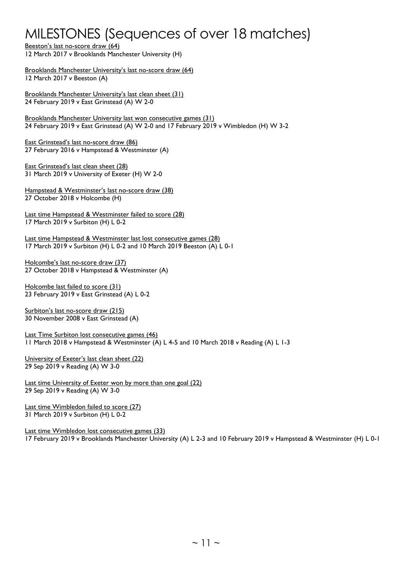## MILESTONES (Sequences of over 18 matches)

Beeston's last no-score draw (64) 12 March 2017 v Brooklands Manchester University (H)

Brooklands Manchester University's last no-score draw (64) 12 March 2017 v Beeston (A)

Brooklands Manchester University's last clean sheet (31) 24 February 2019 v East Grinstead (A) W 2-0

Brooklands Manchester University last won consecutive games (31) 24 February 2019 v East Grinstead (A) W 2-0 and 17 February 2019 v Wimbledon (H) W 3-2

East Grinstead's last no-score draw (86) 27 February 2016 v Hampstead & Westminster (A)

East Grinstead's last clean sheet (28) 31 March 2019 v University of Exeter (H) W 2-0

Hampstead & Westminster's last no-score draw (38) 27 October 2018 v Holcombe (H)

Last time Hampstead & Westminster failed to score (28) 17 March 2019 v Surbiton (H) L 0-2

Last time Hampstead & Westminster last lost consecutive games (28) 17 March 2019 v Surbiton (H) L 0-2 and 10 March 2019 Beeston (A) L 0-1

Holcombe's last no-score draw (37) 27 October 2018 v Hampstead & Westminster (A)

Holcombe last failed to score (31) 23 February 2019 v East Grinstead (A) L 0-2

Surbiton's last no-score draw (215) 30 November 2008 v East Grinstead (A)

Last Time Surbiton lost consecutive games (46) 11 March 2018 v Hampstead & Westminster (A) L 4-5 and 10 March 2018 v Reading (A) L 1-3

University of Exeter's last clean sheet (22) 29 Sep 2019 v Reading (A) W 3-0

Last time University of Exeter won by more than one goal (22) 29 Sep 2019 v Reading (A) W 3-0

Last time Wimbledon failed to score (27) 31 March 2019 v Surbiton (H) L 0-2

Last time Wimbledon lost consecutive games (33) 17 February 2019 v Brooklands Manchester University (A) L 2-3 and 10 February 2019 v Hampstead & Westminster (H) L 0-1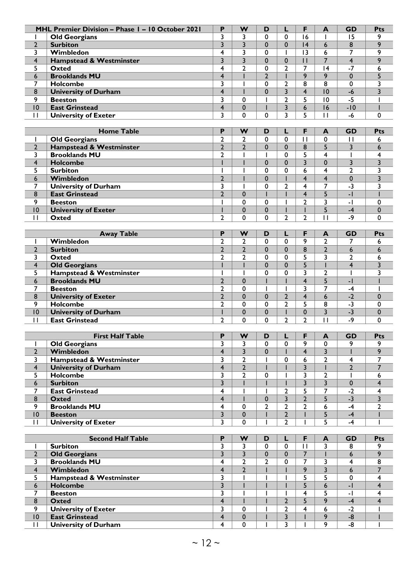|                         | MHL Premier Division - Phase I - 10 October 2021 | P                       | W                       | D              | L                                | F                       | A                | <b>GD</b>               | Pts                     |
|-------------------------|--------------------------------------------------|-------------------------|-------------------------|----------------|----------------------------------|-------------------------|------------------|-------------------------|-------------------------|
| L                       | <b>Old Georgians</b>                             | 3                       | 3                       | 0              | 0                                | 16                      | $\mathbf{I}$     | 15                      | 9                       |
| $\mathbf{2}$            | <b>Surbiton</b>                                  | $\overline{3}$          | $\overline{\mathbf{3}}$ | $\mathbf 0$    | $\mathbf 0$                      | 4                       | 6                | 8                       | 9                       |
| 3                       | Wimbledon                                        | 4                       | 3                       | 0              | $\mathbf{I}$                     | 13                      | 6                | 7                       | 9                       |
| $\overline{\mathbf{4}}$ | Hampstead & Westminster                          | $\overline{3}$          | $\overline{\mathbf{3}}$ | $\mathbf 0$    | $\mathbf 0$                      | $\mathbf{H}$            | $\overline{7}$   | $\overline{\mathbf{4}}$ | 9                       |
| 5                       | Oxted                                            | 4                       | $\overline{2}$          | 0              | 2                                | $\overline{7}$          | 4                | $-7$                    | 6                       |
|                         | <b>Brooklands MU</b>                             | $\overline{\mathbf{4}}$ |                         | $\overline{2}$ | L                                | 9                       | 9                | $\mathbf{0}$            | 5                       |
| 6                       |                                                  |                         |                         |                |                                  |                         |                  |                         |                         |
| 7                       | Holcombe                                         | 3                       |                         | 0              | $\mathbf{2}$                     | 8                       | 8                | $\mathbf 0$             | 3                       |
| 8                       | <b>University of Durham</b>                      | 4                       | $\overline{1}$          | $\mathbf 0$    | 3                                | $\overline{4}$          | 10               | $-6$                    | 3                       |
| 9                       | <b>Beeston</b>                                   | 3                       | 0                       | $\mathbf{I}$   | $\overline{2}$                   | 5                       | 10               | $-5$                    |                         |
| 10                      | <b>East Grinstead</b>                            | $\overline{\mathbf{r}}$ | $\mathbf 0$             |                | 3                                | 6                       | 16               | $-10$                   |                         |
| $\mathbf{H}$            | <b>University of Exeter</b>                      | 3                       | 0                       | 0              | 3                                | 5                       | $\mathbf{H}$     | -6                      | $\pmb{0}$               |
|                         |                                                  |                         |                         |                |                                  |                         |                  |                         |                         |
|                         | <b>Home Table</b>                                | P                       | W                       | D              | L                                | F                       | A                | <b>GD</b>               | Pts                     |
| T                       | <b>Old Georgians</b>                             | $\overline{2}$          | 2                       | 0              | $\mathbf 0$                      | $\mathbf{H}$            | 0                | $\mathbf{H}$            | 6                       |
| $\overline{2}$          | Hampstead & Westminster                          | $\overline{2}$          | $\overline{2}$          | $\mathbf 0$    | $\mathbf{0}$                     | 8                       | 5                | 3                       | 6                       |
| 3                       | <b>Brooklands MU</b>                             | $\overline{2}$          | ı                       | т              | 0                                | 5                       | 4                |                         | 4                       |
| $\overline{\mathbf{4}}$ | <b>Holcombe</b>                                  |                         |                         | $\mathbf 0$    | $\mathbf 0$                      | $\overline{3}$          | $\mathbf 0$      | 3                       | $\overline{3}$          |
| 5                       | <b>Surbiton</b>                                  | ı                       |                         | 0              | 0                                | 6                       | 4                | 2                       | 3                       |
| 6                       | Wimbledon                                        | $\overline{2}$          | $\mathbf{I}$            | $\mathbf 0$    |                                  | $\overline{4}$          | $\overline{4}$   | $\mathbf 0$             | 3                       |
| 7                       | <b>University of Durham</b>                      | 3                       | ı                       | 0              | 2                                | $\overline{\mathbf{4}}$ | 7                | $-3$                    | 3                       |
| $\bf 8$                 | <b>East Grinstead</b>                            | $\mathbf{2}$            | $\mathbf 0$             |                |                                  | $\overline{4}$          | 5                | $-1$                    |                         |
| 9                       | <b>Beeston</b>                                   |                         | 0                       | 0              |                                  | $\overline{2}$          | 3                | - 1                     | 0                       |
| 10                      | <b>University of Exeter</b>                      |                         | $\mathbf 0$             | $\mathbf 0$    |                                  | $\mathsf{I}$            | 5                | $-4$                    | $\pmb{0}$               |
| $\mathbf{I}$            | Oxted                                            | $\overline{2}$          | $\Omega$                | 0              | $\overline{2}$                   | $\overline{2}$          | $\mathbf{H}$     | -9                      | $\mathbf 0$             |
|                         |                                                  |                         |                         |                |                                  |                         |                  |                         |                         |
|                         |                                                  |                         |                         |                |                                  |                         |                  |                         |                         |
|                         | <b>Away Table</b>                                | Ρ                       | W                       | D              | L                                | F                       | A                | <b>GD</b>               | Pts                     |
| ı                       | Wimbledon                                        | $\overline{2}$          | $\overline{2}$          | 0              | 0                                | 9                       | $\overline{2}$   | 7                       | 6                       |
| $\mathbf{2}$            | <b>Surbiton</b>                                  | $\overline{2}$          | $\overline{2}$          | 0              | 0                                | 8                       | $\overline{2}$   | 6                       | 6                       |
| 3                       | Oxted                                            | 2                       | $\overline{2}$          | 0              | 0                                | 5                       | 3                | 2                       | 6                       |
| $\overline{\mathbf{4}}$ | <b>Old Georgians</b>                             |                         |                         | 0              | $\mathbf{0}$                     | 5                       |                  | $\overline{\mathbf{4}}$ | 3                       |
| 5                       | Hampstead & Westminster                          |                         |                         | 0              | 0                                | 3                       | $\overline{2}$   | T                       | 3                       |
| 6                       | <b>Brooklands MU</b>                             | $\overline{2}$          | $\mathbf 0$             |                |                                  | $\overline{4}$          | 5                | $-1$                    |                         |
| 7                       | <b>Beeston</b>                                   | $\overline{2}$          | 0                       |                |                                  | 3                       | 7                | $-4$                    |                         |
| $\bf 8$                 | <b>University of Exeter</b>                      | $\overline{2}$          | $\mathbf 0$             | $\mathbf 0$    | $\overline{2}$                   | $\overline{4}$          | $\overline{6}$   | $-2$                    | $\mathbf 0$             |
| 9                       | Holcombe                                         | $\overline{2}$          | 0                       | 0              | $\mathbf{2}$                     | 5                       | 8                | $-3$                    | 0                       |
| 10                      | <b>University of Durham</b>                      | Ī                       | $\mathbf 0$             | $\mathbf 0$    | L                                | $\mathbf 0$             | 3                | $-3$                    | $\mathbf 0$             |
| $\mathbf{I}$            | <b>East Grinstead</b>                            | $\overline{2}$          | $\mathbf 0$             | 0              | $\overline{2}$                   | $\overline{2}$          | $\mathbf{H}$     | $-9$                    | 0                       |
|                         |                                                  |                         |                         |                |                                  |                         |                  |                         |                         |
|                         | <b>First Half Table</b>                          | P                       | W                       | D              | L                                | F                       | A                | GD                      | <b>Pts</b>              |
| L                       | <b>Old Georgians</b>                             | 3                       | 3                       | 0              | 0                                | 9                       | 0                | 9                       | 9                       |
| $\overline{2}$          | Wimbledon                                        | 4                       | 3                       | 0              |                                  | $\overline{4}$          | 3                |                         | 9                       |
| 3                       | Hampstead & Westminster                          | 3                       | $\mathbf{2}$            |                | 0                                | 6                       | $\overline{2}$   | 4                       | 7                       |
| $\overline{\mathbf{4}}$ | <b>University of Durham</b>                      | $\overline{\mathbf{4}}$ | $\overline{2}$          |                |                                  | $\overline{\mathbf{3}}$ |                  | $\overline{2}$          | $\overline{7}$          |
| 5                       | Holcombe                                         | 3                       | $\overline{2}$          | 0              |                                  | 3                       | $\overline{2}$   |                         | 6                       |
| 6                       | <b>Surbiton</b>                                  | 3                       |                         |                |                                  | $\overline{\mathbf{3}}$ | 3                | $\mathbf 0$             | $\overline{\mathbf{4}}$ |
| 7                       | <b>East Grinstead</b>                            | 4                       |                         | т              | $\mathbf{2}$                     | 5                       | 7                | $-2$                    | 4                       |
|                         |                                                  | $\overline{\mathbf{4}}$ |                         | $\mathbf 0$    | 3                                | $\overline{2}$          | 5                | $-3$                    | $\overline{\mathbf{3}}$ |
| $\bf 8$<br>9            | <b>Oxted</b><br><b>Brooklands MU</b>             | 4                       | $\pmb{0}$               | $\overline{2}$ | 2                                | $\mathbf{2}$            | 6                | $-4$                    | $\overline{2}$          |
|                         |                                                  |                         |                         |                |                                  |                         |                  |                         |                         |
| 10                      | <b>Beeston</b>                                   | 3                       | $\mathbf 0$             | L              | $\overline{2}$<br>$\overline{2}$ | L                       | 5<br>5           | $-4$                    |                         |
| $\mathbf{H}$            | <b>University of Exeter</b>                      | 3                       | 0                       |                |                                  |                         |                  | -4                      |                         |
|                         |                                                  |                         |                         |                |                                  |                         |                  |                         |                         |
|                         | <b>Second Half Table</b>                         | Ρ                       | W                       | D              | L                                | F                       | $\blacktriangle$ | <b>GD</b>               | Pts                     |
| I                       | <b>Surbiton</b>                                  | 3                       | 3                       | 0              | 0                                | $\mathbf{H}$            | 3                | 8                       | 9                       |
| $\mathbf{2}$            | <b>Old Georgians</b>                             | $\overline{3}$          | $\overline{\mathbf{3}}$ | $\pmb{0}$      | $\mathbf 0$                      | $\overline{7}$          |                  | 6                       | 9                       |
| 3                       | <b>Brooklands MU</b>                             | 4                       | $\overline{2}$          | $\overline{2}$ | 0                                | $\overline{7}$          | 3                | $\overline{4}$          | 8                       |
| $\overline{\mathbf{4}}$ | Wimbledon                                        | $\overline{\mathbf{4}}$ | $\overline{2}$          |                |                                  | $\overline{9}$          | 3                | 6                       | $\overline{7}$          |
| 5                       | Hampstead & Westminster                          | 3                       |                         |                |                                  | 5                       | 5                | $\mathbf 0$             | 4                       |
| 6                       | <b>Holcombe</b>                                  | $\overline{\mathbf{3}}$ |                         |                |                                  | 5                       | 6                | $-1$                    | $\overline{4}$          |
| $\overline{7}$          | <b>Beeston</b>                                   | 3                       | I                       | $\mathbf{I}$   | L                                | $\overline{\mathbf{4}}$ | 5                | $\overline{a}$          | 4                       |
| $\pmb{8}$               | <b>Oxted</b>                                     | $\overline{\mathbf{4}}$ |                         |                | $\overline{2}$                   | 5                       | 9                | $-4$                    | $\overline{4}$          |
| 9                       | <b>University of Exeter</b>                      | 3                       | 0                       |                | $\mathbf{2}$                     | 4                       | 6                | $-2$                    |                         |
| 10                      | <b>East Grinstead</b>                            | 4                       | $\mathbf 0$             |                | $\overline{\mathbf{3}}$          |                         | 9                | $-8$                    |                         |
| $\mathbf{H}$            | <b>University of Durham</b>                      | 4                       | $\pmb{0}$               |                | 3                                |                         | 9                | -8                      |                         |
|                         |                                                  |                         |                         |                |                                  |                         |                  |                         |                         |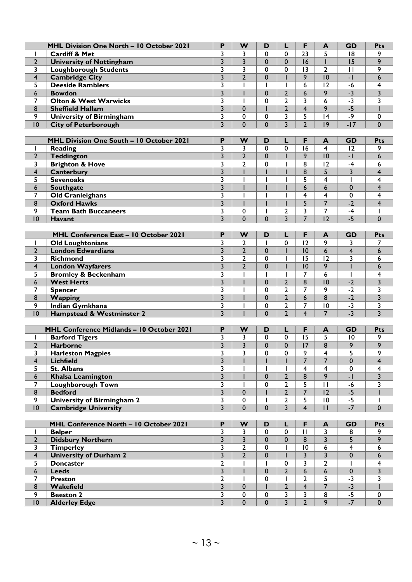|                         | MHL Division One North - 10 October 2021         | P                                       | W              | D            | L                       | F                | A                       | <b>GD</b>                | Pts                     |
|-------------------------|--------------------------------------------------|-----------------------------------------|----------------|--------------|-------------------------|------------------|-------------------------|--------------------------|-------------------------|
|                         | Cardiff & Met                                    | 3                                       | 3              | $\Omega$     | $\mathbf 0$             | 2 <sub>3</sub>   | 5                       | 18                       | 9                       |
| $\overline{2}$          | <b>University of Nottingham</b>                  | 3                                       | 3              | $\mathbf{0}$ | $\Omega$                | 16               | L                       | 15                       | 9                       |
| 3                       | <b>Loughborough Students</b>                     | 3                                       | 3              | $\Omega$     | $\mathbf 0$             | $\overline{13}$  | $\overline{2}$          | П                        | 9                       |
|                         |                                                  | $\overline{\mathbf{3}}$                 | $\overline{2}$ | $\mathbf 0$  |                         | 9                | 10                      | $-1$                     | 6                       |
| 4                       | <b>Cambridge City</b><br><b>Deeside Ramblers</b> |                                         |                |              |                         |                  |                         |                          |                         |
| 5                       |                                                  | 3                                       |                |              |                         | 6                | 12                      | $-6$                     | 4                       |
| 6                       | <b>Bowdon</b>                                    | $\overline{3}$                          |                | $\mathbf 0$  | $\overline{2}$          | 6                | 9                       | $-3$                     | 3                       |
| 7                       | <b>Olton &amp; West Warwicks</b>                 | 3                                       | $\overline{1}$ | $\mathbf 0$  | $\overline{2}$          | 3                | 6                       | $-3$                     | 3                       |
| 8                       | <b>Sheffield Hallam</b>                          | $\overline{\mathbf{3}}$                 | $\mathbf 0$    |              | $\overline{2}$          | $\overline{4}$   | 9                       | $-5$                     |                         |
| 9                       | <b>University of Birmingham</b>                  | 3                                       | 0              | $\mathbf 0$  | 3                       | 5                | 4                       | -9                       | 0                       |
| 10                      | <b>City of Peterborough</b>                      | 3                                       | $\Omega$       | $\mathbf 0$  | $\overline{\mathbf{3}}$ | $\overline{2}$   | 9                       | $-17$                    | $\mathbf 0$             |
|                         |                                                  |                                         |                |              |                         |                  |                         |                          |                         |
|                         | MHL Division One South - 10 October 2021         | P                                       | W              | D            | L                       | F                | A                       | <b>GD</b>                | Pts                     |
| $\mathbf{I}$            | <b>Reading</b>                                   | 3                                       | 3              | $\Omega$     | $\Omega$                | 16               | $\overline{\mathbf{4}}$ | 12                       | 9                       |
| $\mathbf{2}$            | Teddington                                       | $\overline{\mathbf{3}}$                 | $\overline{2}$ | $\mathbf 0$  |                         | 9                | 10                      | $\overline{\phantom{a}}$ | 6                       |
| 3                       | <b>Brighton &amp; Hove</b>                       | 3                                       | $\overline{2}$ | $\mathbf 0$  |                         | 8                | 12                      | $-4$                     | 6                       |
| $\overline{\mathbf{r}}$ | Canterbury                                       | $\overline{3}$                          |                |              |                         | 8                | 5                       | 3                        | $\overline{\mathbf{4}}$ |
| 5                       | <b>Sevenoaks</b>                                 | 3                                       | I              |              |                         | 5                | $\overline{\mathbf{4}}$ | L                        | 4                       |
| 6                       | <b>Southgate</b>                                 | $\overline{\mathbf{3}}$                 |                |              |                         | 6                | 6                       | $\mathbf 0$              | $\overline{4}$          |
| 7                       | <b>Old Cranleighans</b>                          | 3                                       |                |              |                         | 4                | 4                       | 0                        | 4                       |
| 8                       | <b>Oxford Hawks</b>                              | 3                                       | $\mathsf{I}$   |              |                         | 5                | $\overline{7}$          | $-2$                     | $\overline{\mathbf{4}}$ |
| 9                       | <b>Team Bath Buccaneers</b>                      | 3                                       | 0              |              | $\overline{2}$          | 3                | $\overline{7}$          | $-4$                     |                         |
| 10                      | <b>Havant</b>                                    | $\overline{3}$                          | $\Omega$       | $\Omega$     | $\overline{3}$          | $\overline{7}$   | 12                      | $-5$                     | $\Omega$                |
|                         |                                                  |                                         |                |              |                         |                  |                         |                          |                         |
|                         | <b>MHL Conference East - 10 October 2021</b>     | P                                       | W              | D            | L                       | F                | A                       | <b>GD</b>                | Pts                     |
| ı                       | <b>Old Loughtonians</b>                          | 3                                       | $\overline{2}$ |              | $\mathbf 0$             | 12               | 9                       | 3                        | 7                       |
| $\overline{2}$          | <b>London Edwardians</b>                         | 3                                       | $\overline{2}$ | $\mathbf 0$  |                         | 10               | 6                       | $\overline{\mathbf{4}}$  | 6                       |
| 3                       | Richmond                                         | 3                                       | $\overline{2}$ | 0            |                         | 15               | 12                      | 3                        | 6                       |
| 4                       | <b>London Wayfarers</b>                          | $\overline{\mathbf{3}}$                 | $\overline{2}$ | $\mathbf 0$  |                         | $\overline{10}$  | 9                       |                          | 6                       |
| 5                       | <b>Bromley &amp; Beckenham</b>                   | 3                                       |                |              |                         | $\overline{7}$   | 6                       | ı                        | 4                       |
| 6                       | <b>West Herts</b>                                | 3                                       | $\mathsf{I}$   | $\mathbf 0$  | $\overline{2}$          | 8                | 0                       | $-2$                     | $\overline{3}$          |
| 7                       | <b>Spencer</b>                                   | 3                                       | ı              | 0            | $\overline{2}$          | $\overline{7}$   | 9                       | $-2$                     | 3                       |
| 8                       | <b>Wapping</b>                                   | 3                                       |                | $\mathbf{0}$ | $\overline{2}$          | 6                | 8                       | $-2$                     | 3                       |
| 9                       | Indian Gymkhana                                  | 3                                       |                | $\mathbf 0$  | $\overline{2}$          | 7                | 10                      | $-3$                     | 3                       |
| 10                      | Hampstead & Westminster 2                        | $\overline{3}$                          | $\mathbf{I}$   | $\mathbf 0$  | $\overline{2}$          | $\overline{4}$   | $\overline{7}$          | $-3$                     | $\overline{3}$          |
|                         |                                                  |                                         |                |              |                         |                  |                         |                          |                         |
|                         | MHL Conference Midlands - 10 October 2021        | P                                       | W              | D            | L                       | F                | A                       | <b>GD</b>                | Pts                     |
|                         | <b>Barford Tigers</b>                            | 3                                       | 3              | 0            | 0                       | 15               | 5                       | 10                       | 9                       |
| $\overline{2}$          | <b>Harborne</b>                                  | 3                                       | $\overline{3}$ | $\mathbf 0$  | 0                       | 17               | 8                       | 9                        | 9                       |
| 3                       | <b>Harleston Magpies</b>                         | 3                                       | 3              | 0            | 0                       | 9                | 4                       | 5                        | 9                       |
| 4                       | <b>Lichfield</b>                                 | $\overline{\mathbf{3}}$                 |                |              |                         | $\overline{7}$   | $\overline{7}$          | $\mathbf 0$              | $\overline{4}$          |
| 5                       | <b>St. Albans</b>                                | 3                                       |                |              |                         | 4                | $\overline{4}$          | 0                        | 4                       |
| 6                       | <b>Khalsa Leamington</b>                         | $\overline{\mathbf{3}}$                 |                | $\mathbf{0}$ | $\overline{2}$          | 8                | 9                       | $-1$                     | $\overline{3}$          |
| 7                       | <b>Loughborough Town</b>                         | 3                                       |                | 0            | $\mathbf{2}$            | 5                | $\mathbf{H}$            | $-6$                     | 3                       |
| 8                       | <b>Bedford</b>                                   | $\overline{\mathbf{3}}$                 | $\mathbf 0$    |              | $\overline{2}$          | $\overline{7}$   | 12                      | $-5$                     |                         |
| 9                       | University of Birmingham 2                       | 3                                       | 0              |              | $\overline{2}$          | 5                | 10                      | $-5$                     |                         |
| 10                      | <b>Cambridge University</b>                      | $\overline{\mathbf{3}}$                 | $\mathbf 0$    | $\mathbf 0$  | $\overline{3}$          | $\overline{4}$   | П                       | $-7$                     | 0                       |
|                         |                                                  |                                         |                |              |                         |                  |                         |                          |                         |
|                         | MHL Conference North - 10 October 2021           | P                                       | W              | D            | L                       | F                | A                       | <b>GD</b>                | Pts                     |
| $\mathbf{I}$            | <b>Belper</b>                                    | 3                                       | 3              | $\pmb{0}$    | $\mathbf 0$             | $\mathbf{H}$     | $\mathbf{3}$            | 8                        | 9                       |
| $\overline{2}$          | <b>Didsbury Northern</b>                         | 3                                       | $\overline{3}$ | $\mathbf 0$  | $\mathbf 0$             | $\boldsymbol{8}$ | $\overline{\mathbf{3}}$ | 5                        | 9                       |
| 3                       | <b>Timperley</b>                                 | 3                                       | $\overline{2}$ | 0            | L                       | 10               | 6                       | 4                        | 6                       |
| $\overline{\mathbf{4}}$ | <b>University of Durham 2</b>                    | $\overline{\mathbf{3}}$                 | $\overline{2}$ | 0            |                         | 3                | $\overline{\mathbf{3}}$ |                          |                         |
|                         |                                                  |                                         |                |              |                         |                  |                         | 0                        | 6                       |
| 5                       | <b>Doncaster</b>                                 | $\mathbf{2}$<br>$\overline{\mathbf{3}}$ |                | $\mathbf 0$  | 0<br>$\overline{2}$     | 3                | $\mathbf{2}$            |                          | 4                       |
| 6                       | <b>Leeds</b>                                     |                                         |                |              |                         | $6\overline{6}$  | $6\phantom{a}$          | $\pmb{0}$                | 3                       |
| 7                       | <b>Preston</b>                                   | $\overline{2}$                          |                | $\mathbf 0$  |                         | $\overline{2}$   | 5<br>$\overline{7}$     | $-3$                     | 3                       |
| 8                       | Wakefield                                        | 3                                       | $\mathbf{0}$   |              | $\overline{2}$          | $\overline{4}$   |                         | $-3$                     |                         |
| 9                       | <b>Beeston 2</b>                                 | 3                                       | 0              | $\pmb{0}$    | 3                       | $\overline{3}$   | 8                       | $-5$                     | 0                       |
| 10                      | <b>Alderley Edge</b>                             | $\overline{\mathbf{3}}$                 | $\mathbf 0$    | $\mathbf 0$  | $\overline{3}$          | $\overline{2}$   | 9                       | $-7$                     | $\mathbf 0$             |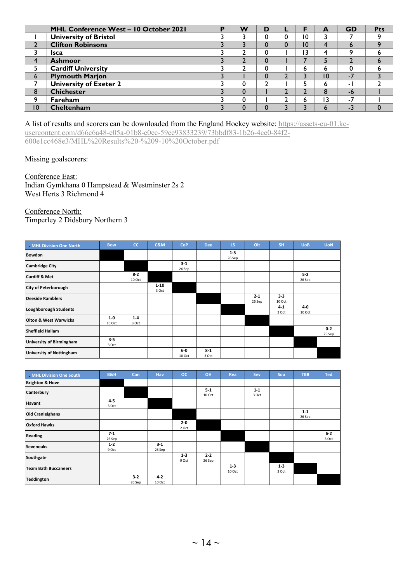|                        | MHL Conference West - 10 October 2021 | D | w        | D |    | A               | <b>GD</b>   | <b>Pts</b> |
|------------------------|---------------------------------------|---|----------|---|----|-----------------|-------------|------------|
|                        | <b>University of Bristol</b>          |   |          |   | 0  |                 |             |            |
|                        | <b>Clifton Robinsons</b>              |   |          |   | 10 | 4               | $\mathbf b$ |            |
|                        | <b>Isca</b>                           |   |          |   | 3  | 4               | o           |            |
| $\boldsymbol{\Lambda}$ | <b>Ashmoor</b>                        |   |          |   |    |                 |             |            |
|                        | <b>Cardiff University</b>             |   | ∍        |   | n  | n               |             |            |
| 6                      | <b>Plymouth Marjon</b>                |   |          |   |    | $\overline{10}$ | -7          |            |
|                        | <b>University of Exeter 2</b>         |   | 0        | ◠ |    | n               | - 1         |            |
| 8                      | <b>Chichester</b>                     |   | 0        |   |    | $\circ$<br>Õ    | -6          |            |
| ۹                      | <b>Fareham</b>                        |   | $\Omega$ |   | ь  | 3 ا             | - 1         |            |
| 10                     | Cheltenham                            |   | $\Omega$ |   |    | n               | $-3$        |            |

A list of results and scorers can be downloaded from the England Hockey website: [https://assets-eu-01.kc](https://assets-eu-01.kc-usercontent.com/d66c6a48-e05a-01b8-e0ec-59ee93833239/73bbdf83-1b26-4ce0-84f2-600e1cc468e3/MHL%20Results%20-%209-10%20October.pdf)[usercontent.com/d66c6a48-e05a-01b8-e0ec-59ee93833239/73bbdf83-1b26-4ce0-84f2-](https://assets-eu-01.kc-usercontent.com/d66c6a48-e05a-01b8-e0ec-59ee93833239/73bbdf83-1b26-4ce0-84f2-600e1cc468e3/MHL%20Results%20-%209-10%20October.pdf)

[600e1cc468e3/MHL%20Results%20-%209-10%20October.pdf](https://assets-eu-01.kc-usercontent.com/d66c6a48-e05a-01b8-e0ec-59ee93833239/73bbdf83-1b26-4ce0-84f2-600e1cc468e3/MHL%20Results%20-%209-10%20October.pdf)

Missing goalscorers:

Conference East:

Indian Gymkhana 0 Hampstead & Westminster 2s 2 West Herts 3 Richmond 4

Conference North:

Timperley 2 Didsbury Northern 3

| MHL Division One North           | <b>Bow</b>       | <b>CC</b>         | <b>C&amp;M</b>    | <b>CoP</b>      | <b>Dee</b>       | LS.               | Olt               | <b>SH</b>         | <b>UoB</b>      | <b>UoN</b>        |
|----------------------------------|------------------|-------------------|-------------------|-----------------|------------------|-------------------|-------------------|-------------------|-----------------|-------------------|
| <b>Bowdon</b>                    |                  |                   |                   |                 |                  | $1 - 5$<br>26 Sep |                   |                   |                 |                   |
| <b>Cambridge City</b>            |                  |                   |                   | $3-1$<br>26 Sep |                  |                   |                   |                   |                 |                   |
| <b>Cardiff &amp; Met</b>         |                  | $8 - 2$<br>10 Oct |                   |                 |                  |                   |                   |                   | $5-2$<br>26 Sep |                   |
| <b>City of Peterborough</b>      |                  |                   | $1 - 10$<br>3 Oct |                 |                  |                   |                   |                   |                 |                   |
| <b>Deeside Ramblers</b>          |                  |                   |                   |                 |                  |                   | $2 - 1$<br>26 Sep | $3 - 3$<br>10 Oct |                 |                   |
| <b>Loughborough Students</b>     |                  |                   |                   |                 |                  |                   |                   | $4 - 1$<br>2 Oct  | 4-0<br>10 Oct   |                   |
| <b>Olton &amp; West Warwicks</b> | $1-0$<br>10 Oct  | $1 - 4$<br>3 Oct  |                   |                 |                  |                   |                   |                   |                 |                   |
| <b>Sheffield Hallam</b>          |                  |                   |                   |                 |                  |                   |                   |                   |                 | $0 - 2$<br>25 Sep |
| <b>University of Birmingham</b>  | $3 - 5$<br>3 Oct |                   |                   |                 |                  |                   |                   |                   |                 |                   |
| <b>University of Nottingham</b>  |                  |                   |                   | $6-0$<br>10 Oct | $8 - 1$<br>3 Oct |                   |                   |                   |                 |                   |

| MHL Division One South      | <b>B&amp;H</b>   | Can             | Hav               | <b>OC</b>        | OH                | Rea               | Sev              | Sou              | <b>TBB</b>        | <b>Ted</b>     |
|-----------------------------|------------------|-----------------|-------------------|------------------|-------------------|-------------------|------------------|------------------|-------------------|----------------|
| <b>Brighton &amp; Hove</b>  |                  |                 |                   |                  |                   |                   |                  |                  |                   |                |
| Canterbury                  |                  |                 |                   |                  | $5-1$<br>10 Oct   |                   | $1 - 1$<br>3 Oct |                  |                   |                |
| Havant                      | $4 - 5$<br>3 Oct |                 |                   |                  |                   |                   |                  |                  |                   |                |
| <b>Old Cranleighans</b>     |                  |                 |                   |                  |                   |                   |                  |                  | $1 - 1$<br>26 Sep |                |
| <b>Oxford Hawks</b>         |                  |                 |                   | $2 - 0$<br>2 Oct |                   |                   |                  |                  |                   |                |
| <b>Reading</b>              | $7-1$<br>26 Sep  |                 |                   |                  |                   |                   |                  |                  |                   | $6-2$<br>3 Oct |
| <b>Sevenoaks</b>            | $1 - 2$<br>9 Oct |                 | $3 - 1$<br>26 Sep |                  |                   |                   |                  |                  |                   |                |
| Southgate                   |                  |                 |                   | $1 - 3$<br>9 Oct | $2 - 2$<br>26 Sep |                   |                  |                  |                   |                |
| <b>Team Bath Buccaneers</b> |                  |                 |                   |                  |                   | $1 - 3$<br>10 Oct |                  | $1 - 3$<br>3 Oct |                   |                |
| <b>Teddington</b>           |                  | $3-2$<br>26 Sep | $4 - 2$<br>10 Oct |                  |                   |                   |                  |                  |                   |                |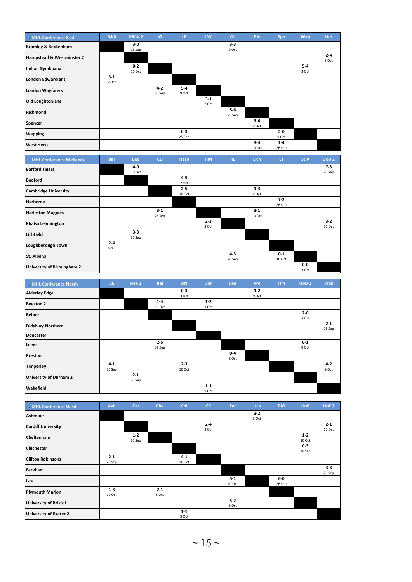| MHL Conference East            | <b>B&amp;B</b>   | <b>H&amp;W2</b>   | IG.               | LE.               | LW             | OL.              | <b>Ric</b>        | Spe               | Wap              | <b>WH</b>        |
|--------------------------------|------------------|-------------------|-------------------|-------------------|----------------|------------------|-------------------|-------------------|------------------|------------------|
| <b>Bromley &amp; Beckenham</b> |                  | $3-0$<br>25 Sep   |                   |                   |                | $3 - 3$<br>9 Oct |                   |                   |                  |                  |
| Hampstead & Westminster 2      |                  |                   |                   |                   |                |                  |                   |                   |                  | $2 - 4$<br>3 Oct |
| Indian Gymkhana                |                  | $0 - 2$<br>10 Oct |                   |                   |                |                  |                   |                   | $5 - 4$<br>3 Oct |                  |
| <b>London Edwardians</b>       | $3 - 1$<br>2 Oct |                   |                   |                   |                |                  |                   |                   |                  |                  |
| <b>London Wayfarers</b>        |                  |                   | $4 - 2$<br>26 Sep | $5 - 4$<br>9 Oct  |                |                  |                   |                   |                  |                  |
| <b>Old Loughtonians</b>        |                  |                   |                   |                   | $3-1$<br>2 Oct |                  |                   |                   |                  |                  |
| Richmond                       |                  |                   |                   |                   |                | $5-6$<br>25 Sep  |                   |                   |                  |                  |
| Spencer                        |                  |                   |                   |                   |                |                  | $3-6$<br>2 Oct    |                   |                  |                  |
| <b>Wapping</b>                 |                  |                   |                   | $0 - 3$<br>25 Sep |                |                  |                   | $2 - 0$<br>9 Oct  |                  |                  |
| <b>West Herts</b>              |                  |                   |                   |                   |                |                  | $3 - 4$<br>10 Oct | $1 - 4$<br>26 Sep |                  |                  |
|                                |                  |                   |                   |                   |                |                  |                   |                   |                  |                  |

| MHL Conference Midlands     | <b>Bar</b>       | <b>Bed</b>        | CU              | <b>Harb</b>       | <b>HM</b>        | <b>KL</b>         | Lich              | <b>LT</b>         | St.A         | UoB <sub>2</sub> |
|-----------------------------|------------------|-------------------|-----------------|-------------------|------------------|-------------------|-------------------|-------------------|--------------|------------------|
| <b>Barford Tigers</b>       |                  | 4-0<br>10 Oct     |                 |                   |                  |                   |                   |                   |              | $7-3$<br>26 Sep  |
| <b>Bedford</b>              |                  |                   |                 | $4 - 5$<br>2 Oct  |                  |                   |                   |                   |              |                  |
| <b>Cambridge University</b> |                  |                   |                 | $2 - 5$<br>10 Oct |                  |                   | $1 - 3$<br>2 Oct  |                   |              |                  |
| Harborne                    |                  |                   |                 |                   |                  |                   |                   | $7-2$<br>26 Sep   |              |                  |
| <b>Harleston Magpies</b>    |                  |                   | $3-1$<br>26 Sep |                   |                  |                   | $3 - 1$<br>10 Oct |                   |              |                  |
| Khalsa Leamington           |                  |                   |                 |                   | $2 - 3$<br>3 Oct |                   |                   |                   |              | $3-2$<br>10 Oct  |
| <b>Lichfield</b>            |                  | $3 - 3$<br>26 Sep |                 |                   |                  |                   |                   |                   |              |                  |
| Loughborough Town           | $2 - 4$<br>3 Oct |                   |                 |                   |                  |                   |                   |                   |              |                  |
| St. Albans                  |                  |                   |                 |                   |                  | $4 - 3$<br>26 Sep |                   | $0 - 1$<br>10 Oct |              |                  |
| University of Birmingham 2  |                  |                   |                 |                   |                  |                   |                   |                   | 0-0<br>3 Oct |                  |

| MHL Conference North     | AE                | Bee 2             | <b>Bel</b>        | <b>DN</b>         | Don              | Lee            | Pre              | <b>Tim</b> | UoD <sub>2</sub> | Wak               |
|--------------------------|-------------------|-------------------|-------------------|-------------------|------------------|----------------|------------------|------------|------------------|-------------------|
| <b>Alderley Edge</b>     |                   |                   |                   | $0-3$<br>3 Oct    |                  |                | $1 - 2$<br>9 Oct |            |                  |                   |
| <b>Beeston 2</b>         |                   |                   | $1 - 4$<br>10 Oct |                   | $1 - 2$<br>3 Oct |                |                  |            |                  |                   |
| <b>Belper</b>            |                   |                   |                   |                   |                  |                |                  |            | $2 - 0$<br>3 Oct |                   |
| <b>Didsbury Northern</b> |                   |                   |                   |                   |                  |                |                  |            |                  | $2 - 1$<br>26 Sep |
| <b>Doncaster</b>         |                   |                   |                   |                   |                  |                |                  |            |                  |                   |
| Leeds                    |                   |                   | $2 - 5$<br>26 Sep |                   |                  |                |                  |            | $0 - 1$<br>9 Oct |                   |
| Preston                  |                   |                   |                   |                   |                  | $0-4$<br>3 Oct |                  |            |                  |                   |
| <b>Timperley</b>         | $4 - 1$<br>25 Sep |                   |                   | $2 - 3$<br>10 Oct |                  |                |                  |            |                  | $4 - 2$<br>2 Oct  |
| University of Durham 2   |                   | $2 - 1$<br>26 Sep |                   |                   |                  |                |                  |            |                  |                   |
| Wakefield                |                   |                   |                   |                   | $1 - 1$<br>9 Oct |                |                  |            |                  |                   |

| MHL Conference West          | Ash               | Car             | Che              | Chi               | <b>CR</b>        | Far               | <b>Isca</b>    | <b>PM</b>       | <b>UoB</b>        | UoE 2             |
|------------------------------|-------------------|-----------------|------------------|-------------------|------------------|-------------------|----------------|-----------------|-------------------|-------------------|
| Ashmoor                      |                   |                 |                  |                   |                  |                   | $3-2$<br>3 Oct |                 |                   |                   |
| <b>Cardiff University</b>    |                   |                 |                  |                   | $2 - 4$<br>3 Oct |                   |                |                 |                   | $2 - 1$<br>10 Oct |
| Cheltenham                   |                   | $1-2$<br>26 Sep |                  |                   |                  |                   |                |                 | $1 - 2$<br>10 Oct |                   |
| <b>Chichester</b>            |                   |                 |                  |                   |                  |                   |                |                 | $0-3$<br>26 Sep   |                   |
| <b>Clifton Robinsons</b>     | $2 - 1$<br>26 Sep |                 |                  | $4 - 1$<br>10 Oct |                  |                   |                |                 |                   |                   |
| Fareham                      |                   |                 |                  |                   |                  |                   |                |                 |                   | $3 - 3$<br>26 Sep |
| Isca                         |                   |                 |                  |                   |                  | $5 - 1$<br>10 Oct |                | $6-0$<br>26 Sep |                   |                   |
| <b>Plymouth Marjon</b>       | $1 - 3$<br>10 Oct |                 | $2 - 1$<br>3 Oct |                   |                  |                   |                |                 |                   |                   |
| <b>University of Bristol</b> |                   |                 |                  |                   |                  | $5 - 2$<br>3 Oct  |                |                 |                   |                   |
| University of Exeter 2       |                   |                 |                  | $1 - 1$<br>3 Oct  |                  |                   |                |                 |                   |                   |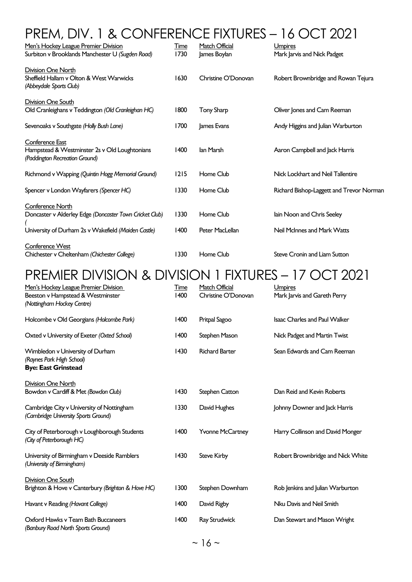# PREM, DIV. 1 & CONFERENCE FIXTURES – 16 OCT 2021

| Men's Hockey League Premier Division<br>Surbiton v Brooklands Manchester U (Sugden Road)                                           | <u>Time</u><br>1730 | Match Official<br>James Boylan | <b>Umpires</b><br>Mark Jarvis and Nick Padget             |
|------------------------------------------------------------------------------------------------------------------------------------|---------------------|--------------------------------|-----------------------------------------------------------|
| Division One North<br>Sheffield Hallam v Olton & West Warwicks<br>(Abbeydale Sports Club)                                          | 1630                | Christine O'Donovan            | Robert Brownbridge and Rowan Tejura                       |
| Division One South<br>Old Cranleighans v Teddington (Old Cranleighan HC)                                                           | 1800                | <b>Tony Sharp</b>              | Oliver Jones and Cam Reeman                               |
| Sevenoaks v Southgate (Holly Bush Lane)                                                                                            | 1700                | James Evans                    | Andy Higgins and Julian Warburton                         |
| Conference East<br>Hampstead & Westminster 2s v Old Loughtonians<br>(Paddington Recreation Ground)                                 | 1400                | lan Marsh                      | Aaron Campbell and Jack Harris                            |
| Richmond v Wapping (Quintin Hogg Memorial Ground)                                                                                  | 1215                | Home Club                      | Nick Lockhart and Neil Tallentire                         |
| Spencer v London Wayfarers (Spencer HC)                                                                                            | 1330                | Home Club                      | Richard Bishop-Laggett and Trevor Norman                  |
| Conference North<br>Doncaster v Alderley Edge (Doncaster Town Cricket Club)<br>University of Durham 2s v Wakefield (Maiden Castle) | 1330<br>1400        | Home Club<br>Peter MacLellan   | lain Noon and Chris Seeley<br>Neil McInnes and Mark Watts |
| <b>Conference West</b><br>Chichester v Cheltenham (Chichester College)                                                             | 1330                | Home Club                      | <b>Steve Cronin and Liam Sutton</b>                       |

## PREMIER DIVISION & DIVISION 1 FIXTURES – 17 OCT 2021

| Men's Hockey League Premier Division<br>Beeston v Hampstead & Westminster<br>(Nottingham Hockey Centre) | Time<br>1400 | Match Official<br>Christine O'Donovan | <b>Umpires</b><br>Mark Jarvis and Gareth Perry |
|---------------------------------------------------------------------------------------------------------|--------------|---------------------------------------|------------------------------------------------|
| Holcombe v Old Georgians (Holcombe Park)                                                                | 1400         | Pritpal Sagoo                         | <b>Isaac Charles and Paul Walker</b>           |
| Oxted v University of Exeter (Oxted School)                                                             | 1400         | Stephen Mason                         | Nick Padget and Martin Twist                   |
| Wimbledon v University of Durham<br>(Raynes Park High School)<br><b>Bye: East Grinstead</b>             | 1430         | <b>Richard Barter</b>                 | Sean Edwards and Cam Reeman                    |
| Division One North                                                                                      |              |                                       |                                                |
| Bowdon v Cardiff & Met (Bowdon Club)                                                                    | 1430         | <b>Stephen Catton</b>                 | Dan Reid and Kevin Roberts                     |
| Cambridge City v University of Nottingham<br>(Cambridge University Sports Ground)                       | 1330         | David Hughes                          | Johnny Downer and Jack Harris                  |
| City of Peterborough v Loughborough Students<br>(City of Peterborough HC)                               | 1400         | <b>Yvonne McCartney</b>               | Harry Collinson and David Monger               |
| University of Birmingham v Deeside Ramblers<br>(University of Birmingham)                               | 1430         | <b>Steve Kirby</b>                    | Robert Brownbridge and Nick White              |
| Division One South                                                                                      |              |                                       |                                                |
| Brighton & Hove v Canterbury (Brighton & Hove HC)                                                       | 1300         | Stephen Downham                       | Rob Jenkins and Julian Warburton               |
| Havant v Reading (Havant College)                                                                       | 1400         | David Rigby                           | Nku Davis and Neil Smith                       |
| Oxford Hawks v Team Bath Buccaneers<br>(Banbury Road North Sports Ground)                               | 1400         | Ray Strudwick                         | Dan Stewart and Mason Wright                   |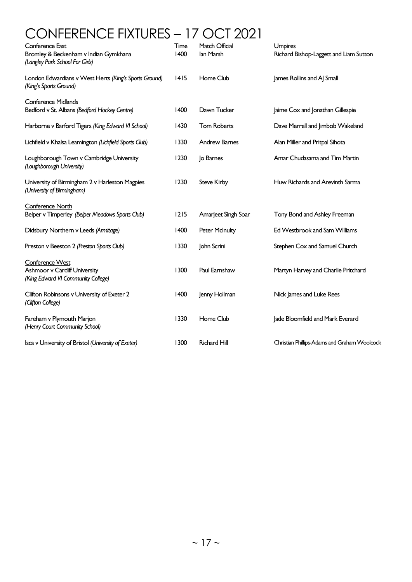# CONFERENCE FIXTURES – 17 OCT 2021

| <b>Conference East</b><br>Bromley & Beckenham v Indian Gymkhana<br>(Langley Park School For Girls) | <b>Time</b><br>1400 | Match Official<br>lan Marsh | Umpires<br>Richard Bishop-Laggett and Liam Sutton |
|----------------------------------------------------------------------------------------------------|---------------------|-----------------------------|---------------------------------------------------|
| London Edwardians v West Herts (King's Sports Ground)<br>(King's Sports Ground)                    | 1415                | Home Club                   | James Rollins and AJ Small                        |
| <b>Conference Midlands</b><br>Bedford v St. Albans (Bedford Hockey Centre)                         | 1400                | Dawn Tucker                 | Jaime Cox and Jonathan Gillespie                  |
| Harborne v Barford Tigers (King Edward VI School)                                                  | 1430                | <b>Tom Roberts</b>          | Dave Merrell and Jimbob Wakeland                  |
| Lichfield v Khalsa Leamington (Lichfield Sports Club)                                              | 1330                | <b>Andrew Barnes</b>        | Alan Miller and Pritpal Sihota                    |
| Loughborough Town v Cambridge University<br>(Loughborough University)                              | 1230                | Jo Barnes                   | Amar Chudasama and Tim Martin                     |
| University of Birmingham 2 v Harleston Magpies<br>(University of Birmingham)                       | 1230                | <b>Steve Kirby</b>          | Huw Richards and Arevinth Sarma                   |
| Conference North<br>Belper v Timperley (Belper Meadows Sports Club)                                | 1215                | Amarjeet Singh Soar         | Tony Bond and Ashley Freeman                      |
| Didsbury Northern v Leeds (Armitage)                                                               | 1400                | <b>Peter McInulty</b>       | Ed Westbrook and Sam Williams                     |
| Preston v Beeston 2 (Preston Sports Club)                                                          | 1330                | John Scrini                 | Stephen Cox and Samuel Church                     |
| Conference West<br>Ashmoor v Cardiff University<br>(King Edward VI Community College)              | 1300                | Paul Earnshaw               | Martyn Harvey and Charlie Pritchard               |
| Clifton Robinsons v University of Exeter 2<br>(Clifton College)                                    | 1400                | Jenny Hollman               | Nick James and Luke Rees                          |
| Fareham v Plymouth Marjon<br>(Henry Court Community School)                                        | 1330                | Home Club                   | Jade Bloomfield and Mark Everard                  |
| Isca v University of Bristol (University of Exeter)                                                | 1300                | <b>Richard Hill</b>         | Christian Phillips-Adams and Graham Woolcock      |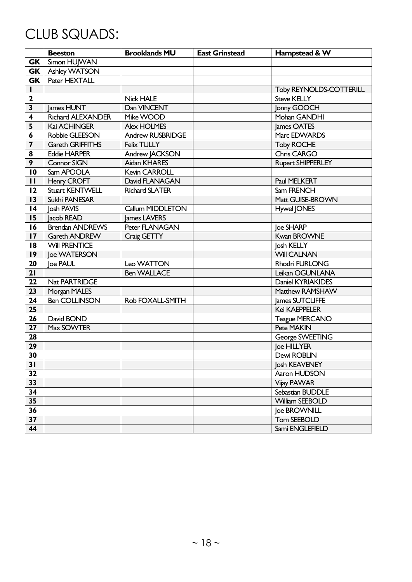# CLUB SQUADS:

|                         | <b>Beeston</b>           | <b>Brooklands MU</b>    | <b>East Grinstead</b> | Hampstead & W                  |
|-------------------------|--------------------------|-------------------------|-----------------------|--------------------------------|
| <b>GK</b>               | Simon HUJWAN             |                         |                       |                                |
| <b>GK</b>               | Ashley WATSON            |                         |                       |                                |
| <b>GK</b>               | Peter HEXTALL            |                         |                       |                                |
| L                       |                          |                         |                       | <b>Toby REYNOLDS-COTTERILL</b> |
| $\mathbf{2}$            |                          | <b>Nick HALE</b>        |                       | <b>Steve KELLY</b>             |
| $\overline{\mathbf{3}}$ | lames HUNT               | Dan VINCENT             |                       | Jonny GOOCH                    |
| $\overline{\mathbf{4}}$ | <b>Richard ALEXANDER</b> | Mike WOOD               |                       | Mohan GANDHI                   |
| 5                       | <b>Kai ACHINGER</b>      | <b>Alex HOLMES</b>      |                       | James OATES                    |
| 6                       | Robbie GLEESON           | <b>Andrew RUSBRIDGE</b> |                       | Marc EDWARDS                   |
| 7                       | <b>Gareth GRIFFITHS</b>  | <b>Felix TULLY</b>      |                       | <b>Toby ROCHE</b>              |
| 8                       | <b>Eddie HARPER</b>      | Andrew JACKSON          |                       | Chris CARGO                    |
| 9                       | Connor SIGN              | Aidan KHARES            |                       | <b>Rupert SHIPPERLEY</b>       |
| 10                      | Sam APOOLA               | Kevin CARROLL           |                       |                                |
| $\mathbf{H}$            | Henry CROFT              | David FLANAGAN          |                       | Paul MELKERT                   |
| 12                      | Stuart KENTWELL          | <b>Richard SLATER</b>   |                       | Sam FRENCH                     |
| 13                      | Sukhi PANESAR            |                         |                       | Matt GUISE-BROWN               |
| 4                       | Josh PAVIS               | Callum MIDDLETON        |                       | Hywel JONES                    |
| 15                      | Jacob READ               | James LAVERS            |                       |                                |
| 16                      | <b>Brendan ANDREWS</b>   | Peter FLANAGAN          |                       | loe SHARP                      |
| 17                      | Gareth ANDREW            | Craig GETTY             |                       | <b>Kwan BROWNE</b>             |
| 18                      | <b>Will PRENTICE</b>     |                         |                       | Josh KELLY                     |
| 19                      | loe WATERSON             |                         |                       | <b>Will CALNAN</b>             |
| 20                      | loe PAUL                 | Leo WATTON              |                       | <b>Rhodri FURLONG</b>          |
| 21                      |                          | <b>Ben WALLACE</b>      |                       | Leikan OGUNLANA                |
| 22                      | Nat PARTRIDGE            |                         |                       | Daniel KYRIAKIDES              |
| 23                      | Morgan MALES             |                         |                       | Matthew RAMSHAW                |
| 24                      | <b>Ben COLLINSON</b>     | Rob FOXALL-SMITH        |                       | James SUTCLIFFE                |
| 25                      |                          |                         |                       | Kei KAEPPELER                  |
| 26                      | David BOND               |                         |                       | <b>Teague MERCANO</b>          |
| 27                      | Max SOWTER               |                         |                       | Pete MAKIN                     |
| 28                      |                          |                         |                       | George SWEETING                |
| 29                      |                          |                         |                       | loe HILLYER                    |
| 30                      |                          |                         |                       | Dewi ROBLIN                    |
| 31                      |                          |                         |                       | Josh KEAVENEY                  |
| $\overline{32}$         |                          |                         |                       | Aaron HUDSON                   |
| 33                      |                          |                         |                       | Vijay PAWAR                    |
| 34                      |                          |                         |                       | Sebastian BUDDLE               |
| 35                      |                          |                         |                       | <b>William SEEBOLD</b>         |
| 36                      |                          |                         |                       | loe BROWNILL                   |
| 37                      |                          |                         |                       | Tom SEEBOLD                    |
| 44                      |                          |                         |                       | Sami ENGLEFIELD                |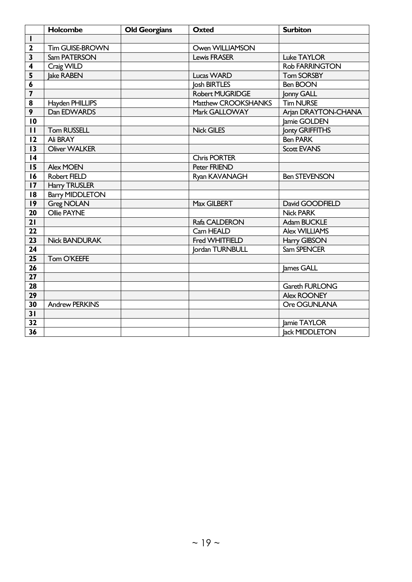|                         | Holcombe               | <b>Old Georgians</b> | <b>Oxted</b>           | <b>Surbiton</b>       |
|-------------------------|------------------------|----------------------|------------------------|-----------------------|
| $\mathbf{I}$            |                        |                      |                        |                       |
| $\mathbf{2}$            | Tim GUISE-BROWN        |                      | Owen WILLIAMSON        |                       |
| $\overline{\mathbf{3}}$ | Sam PATERSON           |                      | <b>Lewis FRASER</b>    | <b>Luke TAYLOR</b>    |
| $\overline{\mathbf{4}}$ | Craig WILD             |                      |                        | Rob FARRINGTON        |
| 5                       | lake RABEN             |                      | <b>Lucas WARD</b>      | <b>Tom SORSBY</b>     |
| 6                       |                        |                      | <b>Josh BIRTLES</b>    | <b>Ben BOON</b>       |
| $\overline{\mathbf{z}}$ |                        |                      | <b>Robert MUGRIDGE</b> | Jonny GALL            |
| 8                       | Hayden PHILLIPS        |                      | Matthew CROOKSHANKS    | <b>Tim NURSE</b>      |
| 9                       | Dan EDWARDS            |                      | Mark GALLOWAY          | Arjan DRAYTON-CHANA   |
| 10                      |                        |                      |                        | Jamie GOLDEN          |
| $\mathbf{H}$            | <b>Tom RUSSELL</b>     |                      | <b>Nick GILES</b>      | Jonty GRIFFITHS       |
| 12                      | Ali BRAY               |                      |                        | <b>Ben PARK</b>       |
| 13                      | <b>Oliver WALKER</b>   |                      |                        | <b>Scott EVANS</b>    |
| $\overline{14}$         |                        |                      | <b>Chris PORTER</b>    |                       |
| 15                      | Alex MOEN              |                      | Peter FRIEND           |                       |
| 16                      | Robert FIELD           |                      | Ryan KAVANAGH          | <b>Ben STEVENSON</b>  |
| 17                      | <b>Harry TRUSLER</b>   |                      |                        |                       |
| 18                      | <b>Barry MIDDLETON</b> |                      |                        |                       |
| $\overline{19}$         | <b>Greg NOLAN</b>      |                      | Max GILBERT            | David GOODFIELD       |
| 20                      | Ollie PAYNE            |                      |                        | <b>Nick PARK</b>      |
| 21                      |                        |                      | Rafa CALDERON          | Adam BUCKLE           |
| $\overline{22}$         |                        |                      | Cam HEALD              | <b>Alex WILLIAMS</b>  |
| $\overline{23}$         | <b>Nick BANDURAK</b>   |                      | Fred WHITFIELD         | Harry GIBSON          |
| 24                      |                        |                      | <b>lordan TURNBULL</b> | Sam SPENCER           |
| 25                      | Tom O'KEEFE            |                      |                        |                       |
| 26                      |                        |                      |                        | James GALL            |
| $\overline{27}$         |                        |                      |                        |                       |
| 28                      |                        |                      |                        | <b>Gareth FURLONG</b> |
| 29                      |                        |                      |                        | Alex ROONEY           |
| 30                      | <b>Andrew PERKINS</b>  |                      |                        | Ore OGUNLANA          |
| 31                      |                        |                      |                        |                       |
| $\overline{32}$         |                        |                      |                        | Jamie TAYLOR          |
| $\overline{36}$         |                        |                      |                        | <b>Jack MIDDLETON</b> |